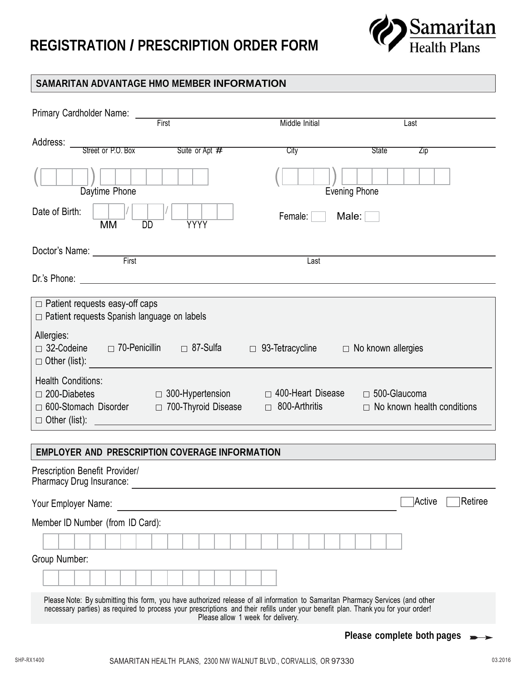## **REGISTRATION / PRESCRIPTION ORDER FORM**



## **SAMARITAN ADVANTAGE HMO MEMBER INFORMATION**

| Primary Cardholder Name: ________                                                                                                                                                                                                                                                                        |                |                              |
|----------------------------------------------------------------------------------------------------------------------------------------------------------------------------------------------------------------------------------------------------------------------------------------------------------|----------------|------------------------------|
| First                                                                                                                                                                                                                                                                                                    | Middle Initial | Last                         |
| Address:<br>Street or P.O. Box Suite or Apt #                                                                                                                                                                                                                                                            | City           | State<br><b>Zip</b>          |
| Daytime Phone                                                                                                                                                                                                                                                                                            | Evening Phone  |                              |
| Date of Birth:<br><b>YYYY</b><br><b>MM</b><br><b>DD</b>                                                                                                                                                                                                                                                  | Female: $\Box$ | Male: $\Box$                 |
| Doctor's Name: First                                                                                                                                                                                                                                                                                     | Last           |                              |
|                                                                                                                                                                                                                                                                                                          |                |                              |
| $\Box$ Patient requests easy-off caps<br>□ Patient requests Spanish language on labels                                                                                                                                                                                                                   |                |                              |
| Allergies:<br>□ 32-Codeine □ 70-Penicillin □ 87-Sulfa □ 93-Tetracycline<br>$\Box$ Other (list):                                                                                                                                                                                                          |                | $\Box$ No known allergies    |
| <b>Health Conditions:</b><br>□ 300-Hypertension     □ 400-Heart Disease   □ 500-Glaucoma<br>$\Box$ 200-Diabetes<br>700-Thyroid Disease<br>□ 600-Stomach Disorder<br>$\Box$ 800-Arthritis $\Box$ No known health conditions                                                                               |                |                              |
| <b>EMPLOYER AND PRESCRIPTION COVERAGE INFORMATION</b>                                                                                                                                                                                                                                                    |                |                              |
| Prescription Benefit Provider/<br>Pharmacy Drug Insurance:                                                                                                                                                                                                                                               |                |                              |
| Your Employer Name:                                                                                                                                                                                                                                                                                      |                | ]Active<br>Retiree           |
| Member ID Number (from ID Card):                                                                                                                                                                                                                                                                         |                |                              |
|                                                                                                                                                                                                                                                                                                          |                |                              |
| Group Number:                                                                                                                                                                                                                                                                                            |                |                              |
|                                                                                                                                                                                                                                                                                                          |                |                              |
| Please Note: By submitting this form, you have authorized release of all information to Samaritan Pharmacy Services (and other<br>necessary parties) as required to process your prescriptions and their refills under your benefit plan. Thank you for your order!<br>Please allow 1 week for delivery. |                |                              |
|                                                                                                                                                                                                                                                                                                          |                | Please complete both pages x |